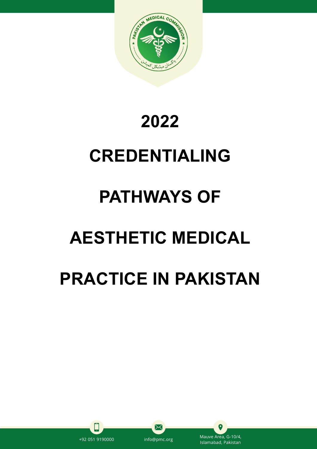

## **2022**

# **CREDENTIALING**

# **PATHWAYS OF**

# **AESTHETIC MEDICAL**

# **PRACTICE IN PAKISTAN**



╳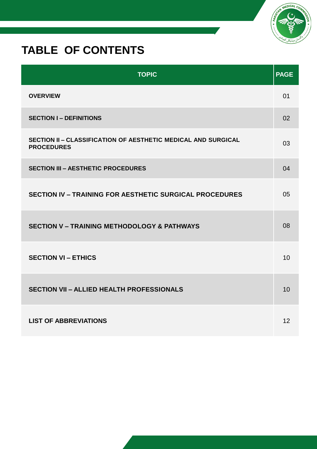### **TABLE OF CONTENTS**

| <b>TOPIC</b>                                                                       | <b>PAGE</b> |
|------------------------------------------------------------------------------------|-------------|
| <b>OVERVIEW</b>                                                                    | 01          |
| <b>SECTION I - DEFINITIONS</b>                                                     | 02          |
| SECTION II - CLASSIFICATION OF AESTHETIC MEDICAL AND SURGICAL<br><b>PROCEDURES</b> | 03          |
| <b>SECTION III - AESTHETIC PROCEDURES</b>                                          | 04          |
| <b>SECTION IV - TRAINING FOR AESTHETIC SURGICAL PROCEDURES</b>                     | 05          |
| <b>SECTION V - TRAINING METHODOLOGY &amp; PATHWAYS</b>                             | 08          |
| <b>SECTION VI - ETHICS</b>                                                         | 10          |
| <b>SECTION VII - ALLIED HEALTH PROFESSIONALS</b>                                   | 10          |
| <b>LIST OF ABBREVIATIONS</b>                                                       | 12          |

MEDICAL CO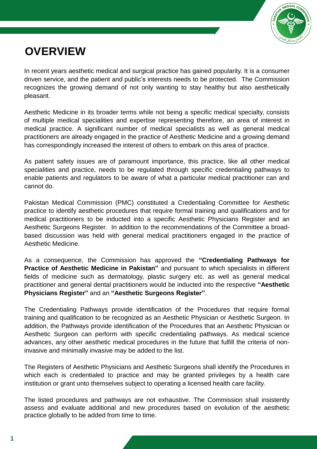

### **OVERVIEW**

In recent years aesthetic medical and surgical practice has gained popularity. It is a consumer driven service, and the patient and public's interests needs to be protected. The Commission recognizes the growing demand of not only wanting to stay healthy but also aesthetically pleasant.

Aesthetic Medicine in its broader terms while not being a specific medical specialty, consists of multiple medical specialities and expertise representing therefore, an area of interest in medical practice. A significant number of medical specialists as well as general medical practitioners are already engaged in the practice of Aesthetic Medicine and a growing demand has correspondingly increased the interest of others to embark on this area of practice.

As patient safety issues are of paramount importance, this practice, like all other medical specialities and practice, needs to be regulated through specific credentialing pathways to enable patients and regulators to be aware of what a particular medical practitioner can and cannot do.

Pakistan Medical Commission (PMC) constituted a Credentialing Committee for Aesthetic practice to identify aesthetic procedures that require formal training and qualifications and for medical practitioners to be inducted into a specific Aesthetic Physicians Register and an Aesthetic Surgeons Register. In addition to the recommendations of the Committee a broadbased discussion was held with general medical practitioners engaged in the practice of Aesthetic Medicine.

As a consequence, the Commission has approved the **"Credentialing Pathways for Practice of Aesthetic Medicine in Pakistan"** and pursuant to which specialists in different fields of medicine such as dermatology, plastic surgery etc. as well as general medical practitioner and general dental practitioners would be inducted into the respective **"Aesthetic Physicians Register"** and an **"Aesthetic Surgeons Register"**.

The Credentialing Pathways provide identification of the Procedures that require formal training and qualification to be recognized as an Aesthetic Physician or Aesthetic Surgeon. In addition, the Pathways provide identification of the Procedures that an Aesthetic Physician or Aesthetic Surgeon can perform with specific credentialing pathways. As medical science advances, any other aesthetic medical procedures in the future that fulfill the criteria of noninvasive and minimally invasive may be added to the list.

The Registers of Aesthetic Physicians and Aesthetic Surgeons shall identify the Procedures in which each is credentialed to practice and may be granted privileges by a health care institution or grant unto themselves subject to operating a licensed health care facility.

The listed procedures and pathways are not exhaustive. The Commission shall insistently assess and evaluate additional and new procedures based on evolution of the aesthetic practice globally to be added from time to time.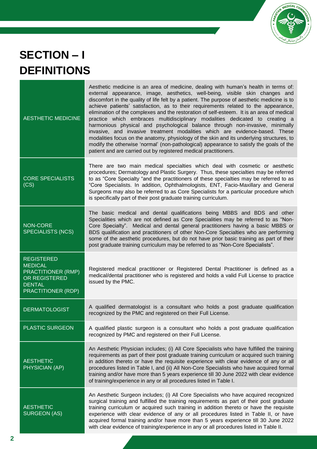

## **SECTION – I DEFINITIONS**

| <b>AESTHETIC MEDICINE</b>                                                                                         | Aesthetic medicine is an area of medicine, dealing with human's health in terms of:<br>external appearance, image, aesthetics, well-being, visible skin changes and<br>discomfort in the quality of life felt by a patient. The purpose of aesthetic medicine is to<br>achieve patients' satisfaction, as to their requirements related to the appearance,<br>elimination of the complexes and the restoration of self-esteem. It is an area of medical<br>practice which embraces multidisciplinary modalities dedicated to creating a<br>harmonious physical and psychological balance through non-invasive, minimally<br>invasive, and invasive treatment modalities which are evidence-based. These<br>modalities focus on the anatomy, physiology of the skin and its underlying structures, to<br>modify the otherwise 'normal' (non-pathological) appearance to satisfy the goals of the<br>patient and are carried out by registered medical practitioners. |
|-------------------------------------------------------------------------------------------------------------------|---------------------------------------------------------------------------------------------------------------------------------------------------------------------------------------------------------------------------------------------------------------------------------------------------------------------------------------------------------------------------------------------------------------------------------------------------------------------------------------------------------------------------------------------------------------------------------------------------------------------------------------------------------------------------------------------------------------------------------------------------------------------------------------------------------------------------------------------------------------------------------------------------------------------------------------------------------------------|
| <b>CORE SPECIALISTS</b><br>(CS)                                                                                   | There are two main medical specialties which deal with cosmetic or aesthetic<br>procedures; Dermatology and Plastic Surgery. Thus, these specialties may be referred<br>to as "Core Specialty "and the practitioners of these specialties may be referred to as<br>"Core Specialists. In addition, Ophthalmologists, ENT, Facio-Maxillary and General<br>Surgeons may also be referred to as Core Specialists for a particular procedure which<br>is specifically part of their post graduate training curriculum.                                                                                                                                                                                                                                                                                                                                                                                                                                                  |
| <b>NON-CORE</b><br><b>SPECIALISTS (NCS)</b>                                                                       | The basic medical and dental qualifications being MBBS and BDS and other<br>Specialities which are not defined as Core Specialities may be referred to as "Non-<br>Core Specialty". Medical and dental general practitioners having a basic MBBS or<br>BDS qualification and practitioners of other Non-Core Specialties who are performing<br>some of the aesthetic procedures, but do not have prior basic training as part of their<br>post graduate training curriculum may be referred to as "Non-Core Specialists".                                                                                                                                                                                                                                                                                                                                                                                                                                           |
| <b>REGISTERED</b><br><b>MEDICAL</b><br>PRACTITIONER (RMP)<br>OR REGISTERED<br><b>DENTAL</b><br>PRACTITIONER (RDP) | Registered medical practitioner or Registered Dental Practitioner is defined as a<br>medical/dental practitioner who is registered and holds a valid Full License to practice<br>issued by the PMC.                                                                                                                                                                                                                                                                                                                                                                                                                                                                                                                                                                                                                                                                                                                                                                 |
| <b>DERMATOLOGIST</b>                                                                                              | A qualified dermatologist is a consultant who holds a post graduate qualification<br>recognized by the PMC and registered on their Full License.                                                                                                                                                                                                                                                                                                                                                                                                                                                                                                                                                                                                                                                                                                                                                                                                                    |
| <b>PLASTIC SURGEON</b>                                                                                            | A qualified plastic surgeon is a consultant who holds a post graduate qualification<br>recognized by PMC and registered on their Full License.                                                                                                                                                                                                                                                                                                                                                                                                                                                                                                                                                                                                                                                                                                                                                                                                                      |
| <b>AESTHETIC</b><br>PHYSICIAN (AP)                                                                                | An Aesthetic Physician includes; (i) All Core Specialists who have fulfilled the training<br>requirements as part of their post graduate training curriculum or acquired such training<br>in addition thereto or have the requisite experience with clear evidence of any or all<br>procedures listed in Table I, and (ii) All Non-Core Specialists who have acquired formal<br>training and/or have more than 5 years experience till 30 June 2022 with clear evidence<br>of training/experience in any or all procedures listed in Table I.                                                                                                                                                                                                                                                                                                                                                                                                                       |
| <b>AESTHETIC</b><br><b>SURGEON (AS)</b>                                                                           | An Aesthetic Surgeon includes; (i) All Core Specialists who have acquired recognized<br>surgical training and fulfilled the training requirements as part of their post graduate<br>training curriculum or acquired such training in addition thereto or have the requisite<br>experience with clear evidence of any or all procedures listed in Table II, or have<br>acquired formal training and/or have more than 5 years experience till 30 June 2022<br>with clear evidence of training/experience in any or all procedures listed in Table II.                                                                                                                                                                                                                                                                                                                                                                                                                |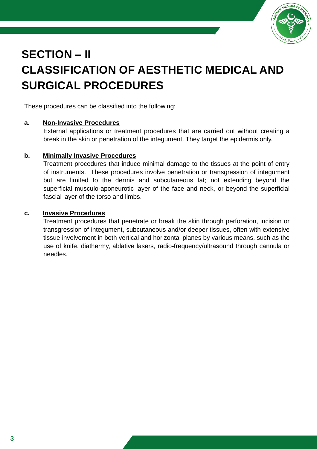

### **SECTION – II CLASSIFICATION OF AESTHETIC MEDICAL AND SURGICAL PROCEDURES**

These procedures can be classified into the following;

#### **a. Non-Invasive Procedures**

External applications or treatment procedures that are carried out without creating a break in the skin or penetration of the integument. They target the epidermis only.

#### **b. Minimally Invasive Procedures**

Treatment procedures that induce minimal damage to the tissues at the point of entry of instruments. These procedures involve penetration or transgression of integument but are limited to the dermis and subcutaneous fat; not extending beyond the superficial musculo-aponeurotic layer of the face and neck, or beyond the superficial fascial layer of the torso and limbs.

#### **c. Invasive Procedures**

Treatment procedures that penetrate or break the skin through perforation, incision or transgression of integument, subcutaneous and/or deeper tissues, often with extensive tissue involvement in both vertical and horizontal planes by various means, such as the use of knife, diathermy, ablative lasers, radio-frequency/ultrasound through cannula or needles.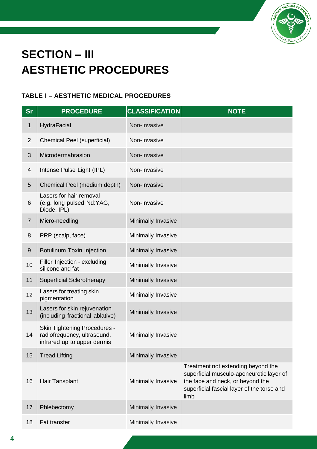

## **SECTION – III AESTHETIC PROCEDURES**

### **TABLE I – AESTHETIC MEDICAL PROCEDURES**

| <b>Sr</b>      | <b>PROCEDURE</b>                                                                                  | <b>CLASSIFICATION</b> | <b>NOTE</b>                                                                                                                                                              |
|----------------|---------------------------------------------------------------------------------------------------|-----------------------|--------------------------------------------------------------------------------------------------------------------------------------------------------------------------|
| 1              | HydraFacial                                                                                       | Non-Invasive          |                                                                                                                                                                          |
| $\overline{2}$ | Chemical Peel (superficial)                                                                       | Non-Invasive          |                                                                                                                                                                          |
| 3              | Microdermabrasion                                                                                 | Non-Invasive          |                                                                                                                                                                          |
| 4              | Intense Pulse Light (IPL)                                                                         | Non-Invasive          |                                                                                                                                                                          |
| 5              | Chemical Peel (medium depth)                                                                      | Non-Invasive          |                                                                                                                                                                          |
| 6              | Lasers for hair removal<br>(e.g. long pulsed Nd:YAG,<br>Diode, IPL)                               | Non-Invasive          |                                                                                                                                                                          |
| $\overline{7}$ | Micro-needling                                                                                    | Minimally Invasive    |                                                                                                                                                                          |
| 8              | PRP (scalp, face)                                                                                 | Minimally Invasive    |                                                                                                                                                                          |
| 9              | Botulinum Toxin Injection                                                                         | Minimally Invasive    |                                                                                                                                                                          |
| 10             | Filler Injection - excluding<br>silicone and fat                                                  | Minimally Invasive    |                                                                                                                                                                          |
| 11             | <b>Superficial Sclerotherapy</b>                                                                  | Minimally Invasive    |                                                                                                                                                                          |
| 12             | Lasers for treating skin<br>pigmentation                                                          | Minimally Invasive    |                                                                                                                                                                          |
| 13             | Lasers for skin rejuvenation<br>(including fractional ablative)                                   | Minimally Invasive    |                                                                                                                                                                          |
| 14             | <b>Skin Tightening Procedures -</b><br>radiofrequency, ultrasound,<br>infrared up to upper dermis | Minimally Invasive    |                                                                                                                                                                          |
| 15             | <b>Tread Lifting</b>                                                                              | Minimally Invasive    |                                                                                                                                                                          |
| 16             | Hair Tansplant                                                                                    | Minimally Invasive    | Treatment not extending beyond the<br>superficial musculo-aponeurotic layer of<br>the face and neck, or beyond the<br>superficial fascial layer of the torso and<br>limb |
| 17             | Phlebectomy                                                                                       | Minimally Invasive    |                                                                                                                                                                          |
| 18             | Fat transfer                                                                                      | Minimally Invasive    |                                                                                                                                                                          |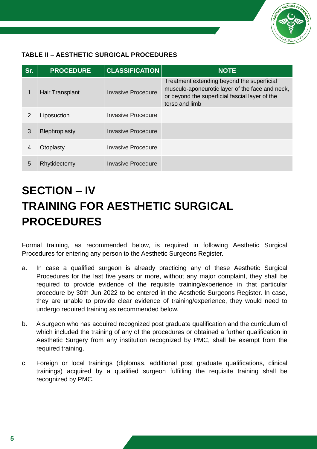

### **TABLE II – AESTHETIC SURGICAL PROCEDURES**

| Sr.           | <b>PROCEDURE</b> | <b>CLASSIFICATION</b> | <b>NOTE</b>                                                                                                                                                       |
|---------------|------------------|-----------------------|-------------------------------------------------------------------------------------------------------------------------------------------------------------------|
| 1             | Hair Transplant  | Invasive Procedure    | Treatment extending beyond the superficial<br>musculo-aponeurotic layer of the face and neck,<br>or beyond the superficial fascial layer of the<br>torso and limb |
| $\mathcal{P}$ | Liposuction      | Invasive Procedure    |                                                                                                                                                                   |
| 3             | Blephroplasty    | Invasive Procedure    |                                                                                                                                                                   |
| 4             | Otoplasty        | Invasive Procedure    |                                                                                                                                                                   |
| 5             | Rhytidectomy     | Invasive Procedure    |                                                                                                                                                                   |

## **SECTION – IV TRAINING FOR AESTHETIC SURGICAL PROCEDURES**

Formal training, as recommended below, is required in following Aesthetic Surgical Procedures for entering any person to the Aesthetic Surgeons Register.

- a. In case a qualified surgeon is already practicing any of these Aesthetic Surgical Procedures for the last five years or more, without any major complaint, they shall be required to provide evidence of the requisite training/experience in that particular procedure by 30th Jun 2022 to be entered in the Aesthetic Surgeons Register. In case, they are unable to provide clear evidence of training/experience, they would need to undergo required training as recommended below.
- b. A surgeon who has acquired recognized post graduate qualification and the curriculum of which included the training of any of the procedures or obtained a further qualification in Aesthetic Surgery from any institution recognized by PMC, shall be exempt from the required training.
- c. Foreign or local trainings (diplomas, additional post graduate qualifications, clinical trainings) acquired by a qualified surgeon fulfilling the requisite training shall be recognized by PMC.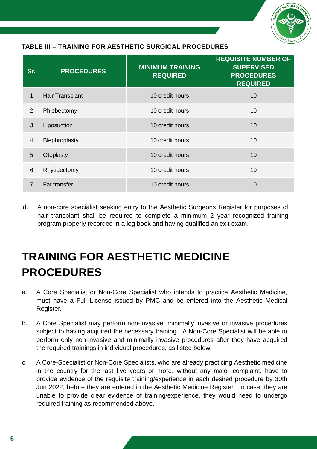

### **TABLE III – TRAINING FOR AESTHETIC SURGICAL PROCEDURES**

| Sr.            | <b>PROCEDURES</b>   | <b>MINIMUM TRAINING</b><br><b>REQUIRED</b> | <b>REQUISITE NUMBER OF</b><br><b>SUPERVISED</b><br><b>PROCEDURES</b><br><b>REQUIRED</b> |
|----------------|---------------------|--------------------------------------------|-----------------------------------------------------------------------------------------|
| 1              | Hair Transplant     | 10 credit hours                            | 10                                                                                      |
| 2              | Phlebectomy         | 10 credit hours                            | 10                                                                                      |
| 3              | Liposuction         | 10 credit hours                            | 10                                                                                      |
| $\overline{4}$ | Blephroplasty       | 10 credit hours                            | 10                                                                                      |
| 5              | Otoplasty           | 10 credit hours                            | 10                                                                                      |
| $6\phantom{1}$ | Rhytidectomy        | 10 credit hours                            | 10                                                                                      |
| $\overline{7}$ | <b>Fat transfer</b> | 10 credit hours                            | 10                                                                                      |

d. A non-core specialist seeking entry to the Aesthetic Surgeons Register for purposes of hair transplant shall be required to complete a minimum 2 year recognized training program properly recorded in a log book and having qualified an exit exam.

### **TRAINING FOR AESTHETIC MEDICINE PROCEDURES**

- a. A Core Specialist or Non-Core Specialist who intends to practice Aesthetic Medicine, must have a Full License issued by PMC and be entered into the Aesthetic Medical Register.
- b. A Core Specialist may perform non-invasive, minimally invasive or invasive procedures subject to having acquired the necessary training. A Non-Core Specialist will be able to perform only non-invasive and minimally invasive procedures after they have acquired the required trainings in individual procedures, as listed below.
- c. A Core-Specialist or Non-Core Specialists, who are already practicing Aesthetic medicine in the country for the last five years or more, without any major complaint, have to provide evidence of the requisite training/experience in each desired procedure by 30th Jun 2022, before they are entered in the Aesthetic Medicine Register. In case, they are unable to provide clear evidence of training/experience, they would need to undergo required training as recommended above.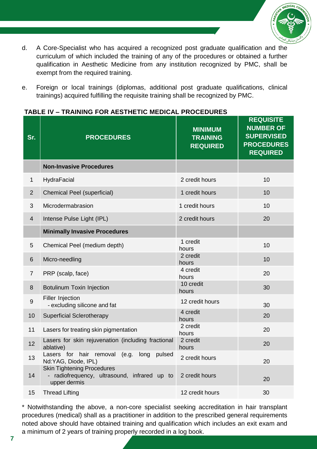

- d. A Core-Specialist who has acquired a recognized post graduate qualification and the curriculum of which included the training of any of the procedures or obtained a further qualification in Aesthetic Medicine from any institution recognized by PMC, shall be exempt from the required training.
- e. Foreign or local trainings (diplomas, additional post graduate qualifications, clinical trainings) acquired fulfilling the requisite training shall be recognized by PMC.

| Sr.              | <b>PROCEDURES</b>                                                                                 | <b>MINIMUM</b><br><b>TRAINING</b><br><b>REQUIRED</b> | <b>REQUISITE</b><br><b>NUMBER OF</b><br><b>SUPERVISED</b><br><b>PROCEDURES</b><br><b>REQUIRED</b> |
|------------------|---------------------------------------------------------------------------------------------------|------------------------------------------------------|---------------------------------------------------------------------------------------------------|
|                  | <b>Non-Invasive Procedures</b>                                                                    |                                                      |                                                                                                   |
| 1                | HydraFacial                                                                                       | 2 credit hours                                       | 10                                                                                                |
| $\overline{2}$   | <b>Chemical Peel (superficial)</b>                                                                | 1 credit hours                                       | 10                                                                                                |
| 3                | Microdermabrasion                                                                                 | 1 credit hours                                       | 10                                                                                                |
| $\overline{4}$   | Intense Pulse Light (IPL)                                                                         | 2 credit hours                                       | 20                                                                                                |
|                  | <b>Minimally Invasive Procedures</b>                                                              |                                                      |                                                                                                   |
| 5                | Chemical Peel (medium depth)                                                                      | 1 credit<br>hours                                    | 10                                                                                                |
| 6                | Micro-needling                                                                                    | 2 credit<br>hours                                    | 10                                                                                                |
| $\overline{7}$   | PRP (scalp, face)                                                                                 | 4 credit<br>hours                                    | 20                                                                                                |
| 8                | Botulinum Toxin Injection                                                                         | 10 credit<br>hours                                   | 30                                                                                                |
| $\boldsymbol{9}$ | Filler Injection<br>- excluding silicone and fat                                                  | 12 credit hours                                      | 30                                                                                                |
| 10               | <b>Superficial Sclerotherapy</b>                                                                  | 4 credit<br>hours                                    | 20                                                                                                |
| 11               | Lasers for treating skin pigmentation                                                             | 2 credit<br>hours                                    | 20                                                                                                |
| 12               | Lasers for skin rejuvenation (including fractional<br>ablative)                                   | 2 credit<br>hours                                    | 20                                                                                                |
| 13               | Lasers for hair removal (e.g. long pulsed<br>Nd:YAG, Diode, IPL)                                  | 2 credit hours                                       | 20                                                                                                |
| 14               | <b>Skin Tightening Procedures</b><br>- radiofrequency, ultrasound, infrared up to<br>upper dermis | 2 credit hours                                       | 20                                                                                                |
| 15               | <b>Thread Lifting</b>                                                                             | 12 credit hours                                      | 30                                                                                                |

#### **TABLE IV – TRAINING FOR AESTHETIC MEDICAL PROCEDURES**

\* Notwithstanding the above, a non-core specialist seeking accreditation in hair transplant procedures (medical) shall as a practitioner in addition to the prescribed general requirements noted above should have obtained training and qualification which includes an exit exam and a minimum of 2 years of training properly recorded in a log book.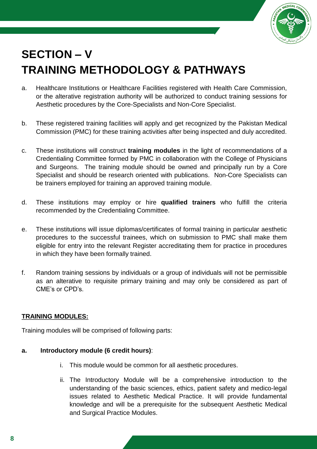

## **SECTION – V TRAINING METHODOLOGY & PATHWAYS**

- a. Healthcare Institutions or Healthcare Facilities registered with Health Care Commission, or the alterative registration authority will be authorized to conduct training sessions for Aesthetic procedures by the Core-Specialists and Non-Core Specialist.
- b. These registered training facilities will apply and get recognized by the Pakistan Medical Commission (PMC) for these training activities after being inspected and duly accredited.
- c. These institutions will construct **training modules** in the light of recommendations of a Credentialing Committee formed by PMC in collaboration with the College of Physicians and Surgeons. The training module should be owned and principally run by a Core Specialist and should be research oriented with publications. Non-Core Specialists can be trainers employed for training an approved training module.
- d. These institutions may employ or hire **qualified trainers** who fulfill the criteria recommended by the Credentialing Committee.
- e. These institutions will issue diplomas/certificates of formal training in particular aesthetic procedures to the successful trainees, which on submission to PMC shall make them eligible for entry into the relevant Register accreditating them for practice in procedures in which they have been formally trained.
- f. Random training sessions by individuals or a group of individuals will not be permissible as an alterative to requisite primary training and may only be considered as part of CME's or CPD's.

#### **TRAINING MODULES:**

Training modules will be comprised of following parts:

#### **a. Introductory module (6 credit hours)**:

- i. This module would be common for all aesthetic procedures.
- ii. The Introductory Module will be a comprehensive introduction to the understanding of the basic sciences, ethics, patient safety and medico-legal issues related to Aesthetic Medical Practice. It will provide fundamental knowledge and will be a prerequisite for the subsequent Aesthetic Medical and Surgical Practice Modules.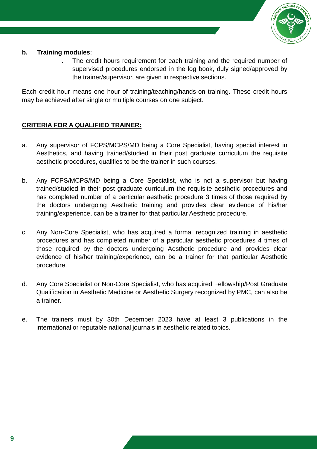

#### **b. Training modules**:

i. The credit hours requirement for each training and the required number of supervised procedures endorsed in the log book, duly signed/approved by the trainer/supervisor, are given in respective sections.

Each credit hour means one hour of training/teaching/hands-on training. These credit hours may be achieved after single or multiple courses on one subject.

### **CRITERIA FOR A QUALIFIED TRAINER:**

- a. Any supervisor of FCPS/MCPS/MD being a Core Specialist, having special interest in Aesthetics, and having trained/studied in their post graduate curriculum the requisite aesthetic procedures, qualifies to be the trainer in such courses.
- b. Any FCPS/MCPS/MD being a Core Specialist, who is not a supervisor but having trained/studied in their post graduate curriculum the requisite aesthetic procedures and has completed number of a particular aesthetic procedure 3 times of those required by the doctors undergoing Aesthetic training and provides clear evidence of his/her training/experience, can be a trainer for that particular Aesthetic procedure.
- c. Any Non-Core Specialist, who has acquired a formal recognized training in aesthetic procedures and has completed number of a particular aesthetic procedures 4 times of those required by the doctors undergoing Aesthetic procedure and provides clear evidence of his/her training/experience, can be a trainer for that particular Aesthetic procedure.
- d. Any Core Specialist or Non-Core Specialist, who has acquired Fellowship/Post Graduate Qualification in Aesthetic Medicine or Aesthetic Surgery recognized by PMC, can also be a trainer.
- e. The trainers must by 30th December 2023 have at least 3 publications in the international or reputable national journals in aesthetic related topics.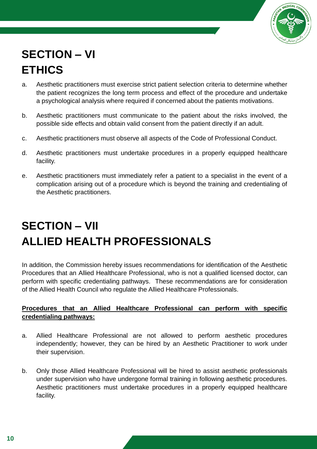

## **SECTION – VI ETHICS**

- a. Aesthetic practitioners must exercise strict patient selection criteria to determine whether the patient recognizes the long term process and effect of the procedure and undertake a psychological analysis where required if concerned about the patients motivations.
- b. Aesthetic practitioners must communicate to the patient about the risks involved, the possible side effects and obtain valid consent from the patient directly if an adult.
- c. Aesthetic practitioners must observe all aspects of the Code of Professional Conduct.
- d. Aesthetic practitioners must undertake procedures in a properly equipped healthcare facility.
- e. Aesthetic practitioners must immediately refer a patient to a specialist in the event of a complication arising out of a procedure which is beyond the training and credentialing of the Aesthetic practitioners.

## **SECTION – VII ALLIED HEALTH PROFESSIONALS**

In addition, the Commission hereby issues recommendations for identification of the Aesthetic Procedures that an Allied Healthcare Professional, who is not a qualified licensed doctor, can perform with specific credentialing pathways. These recommendations are for consideration of the Allied Health Council who regulate the Allied Healthcare Professionals.

### **Procedures that an Allied Healthcare Professional can perform with specific credentialing pathways:**

- a. Allied Healthcare Professional are not allowed to perform aesthetic procedures independently; however, they can be hired by an Aesthetic Practitioner to work under their supervision.
- b. Only those Allied Healthcare Professional will be hired to assist aesthetic professionals under supervision who have undergone formal training in following aesthetic procedures. Aesthetic practitioners must undertake procedures in a properly equipped healthcare facility.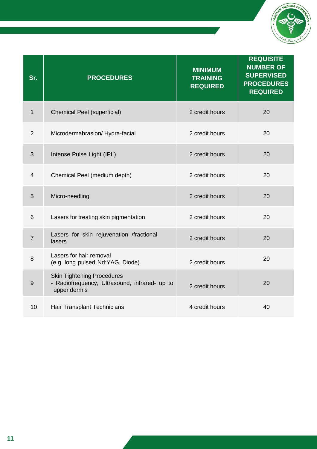

| Sr.            | <b>PROCEDURES</b>                                                                                  | <b>MINIMUM</b><br><b>TRAINING</b><br><b>REQUIRED</b> | <b>REQUISITE</b><br><b>NUMBER OF</b><br><b>SUPERVISED</b><br><b>PROCEDURES</b><br><b>REQUIRED</b> |
|----------------|----------------------------------------------------------------------------------------------------|------------------------------------------------------|---------------------------------------------------------------------------------------------------|
| $\mathbf 1$    | <b>Chemical Peel (superficial)</b>                                                                 | 2 credit hours                                       | 20                                                                                                |
| $\overline{2}$ | Microdermabrasion/Hydra-facial                                                                     | 2 credit hours                                       | 20                                                                                                |
| 3              | Intense Pulse Light (IPL)                                                                          | 2 credit hours                                       | 20                                                                                                |
| $\overline{4}$ | Chemical Peel (medium depth)                                                                       | 2 credit hours                                       | 20                                                                                                |
| 5              | Micro-needling                                                                                     | 2 credit hours                                       | 20                                                                                                |
| 6              | Lasers for treating skin pigmentation                                                              | 2 credit hours                                       | 20                                                                                                |
| $\overline{7}$ | Lasers for skin rejuvenation /fractional<br>lasers                                                 | 2 credit hours                                       | 20                                                                                                |
| 8              | Lasers for hair removal<br>(e.g. long pulsed Nd:YAG, Diode)                                        | 2 credit hours                                       | 20                                                                                                |
| $9$            | <b>Skin Tightening Procedures</b><br>- Radiofrequency, Ultrasound, infrared- up to<br>upper dermis | 2 credit hours                                       | 20                                                                                                |
| 10             | Hair Transplant Technicians                                                                        | 4 credit hours                                       | 40                                                                                                |